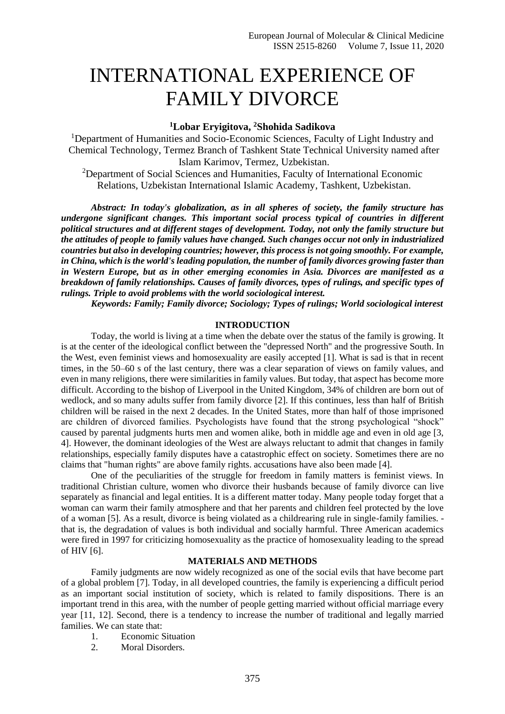# INTERNATIONAL EXPERIENCE OF FAMILY DIVORCE

# **<sup>1</sup>Lobar Eryigitova, <sup>2</sup>Shohida Sadikova**

<sup>1</sup>Department of Humanities and Socio-Economic Sciences, Faculty of Light Industry and Chemical Technology, Termez Branch of Tashkent State Technical University named after Islam Karimov, Termez, Uzbekistan.

<sup>2</sup>Department of Social Sciences and Humanities, Faculty of International Economic Relations, Uzbekistan International Islamic Academy, Tashkent, Uzbekistan.

*Abstract: In today's globalization, as in all spheres of society, the family structure has undergone significant changes. This important social process typical of countries in different political structures and at different stages of development. Today, not only the family structure but the attitudes of people to family values have changed. Such changes occur not only in industrialized countries but also in developing countries; however, this process is not going smoothly. For example, in China, which is the world's leading population, the number of family divorces growing faster than in Western Europe, but as in other emerging economies in Asia. Divorces are manifested as a breakdown of family relationships. Causes of family divorces, types of rulings, and specific types of rulings. Triple to avoid problems with the world sociological interest.*

*Keywords: Family; Family divorce; Sociology; Types of rulings; World sociological interest*

## **INTRODUCTION**

Today, the world is living at a time when the debate over the status of the family is growing. It is at the center of the ideological conflict between the "depressed North" and the progressive South. In the West, even feminist views and homosexuality are easily accepted [1]. What is sad is that in recent times, in the 50–60 s of the last century, there was a clear separation of views on family values, and even in many religions, there were similarities in family values. But today, that aspect has become more difficult. According to the bishop of Liverpool in the United Kingdom, 34% of children are born out of wedlock, and so many adults suffer from family divorce [2]. If this continues, less than half of British children will be raised in the next 2 decades. In the United States, more than half of those imprisoned are children of divorced families. Psychologists have found that the strong psychological "shock" caused by parental judgments hurts men and women alike, both in middle age and even in old age [3, 4]. However, the dominant ideologies of the West are always reluctant to admit that changes in family relationships, especially family disputes have a catastrophic effect on society. Sometimes there are no claims that "human rights" are above family rights. accusations have also been made [4].

One of the peculiarities of the struggle for freedom in family matters is feminist views. In traditional Christian culture, women who divorce their husbands because of family divorce can live separately as financial and legal entities. It is a different matter today. Many people today forget that a woman can warm their family atmosphere and that her parents and children feel protected by the love of a woman [5]. As a result, divorce is being violated as a childrearing rule in single-family families. that is, the degradation of values is both individual and socially harmful. Three American academics were fired in 1997 for criticizing homosexuality as the practice of homosexuality leading to the spread of HIV [6].

## **MATERIALS AND METHODS**

Family judgments are now widely recognized as one of the social evils that have become part of a global problem [7]. Today, in all developed countries, the family is experiencing a difficult period as an important social institution of society, which is related to family dispositions. There is an important trend in this area, with the number of people getting married without official marriage every year [11, 12]. Second, there is a tendency to increase the number of traditional and legally married families. We can state that:

- 1. Economic Situation
- 2. Moral Disorders.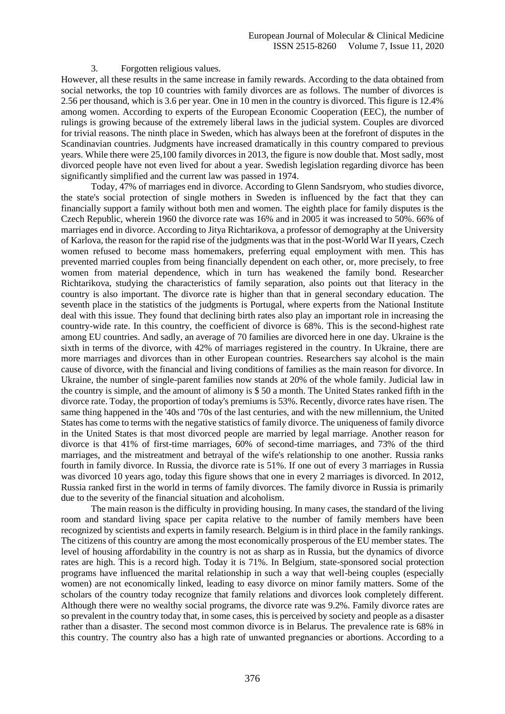## 3. Forgotten religious values.

However, all these results in the same increase in family rewards. According to the data obtained from social networks, the top 10 countries with family divorces are as follows. The number of divorces is 2.56 per thousand, which is 3.6 per year. One in 10 men in the country is divorced. This figure is 12.4% among women. According to experts of the European Economic Cooperation (EEC), the number of rulings is growing because of the extremely liberal laws in the judicial system. Couples are divorced for trivial reasons. The ninth place in Sweden, which has always been at the forefront of disputes in the Scandinavian countries. Judgments have increased dramatically in this country compared to previous years. While there were 25,100 family divorces in 2013, the figure is now double that. Most sadly, most divorced people have not even lived for about a year. Swedish legislation regarding divorce has been significantly simplified and the current law was passed in 1974.

Today, 47% of marriages end in divorce. According to Glenn Sandsryom, who studies divorce, the state's social protection of single mothers in Sweden is influenced by the fact that they can financially support a family without both men and women. The eighth place for family disputes is the Czech Republic, wherein 1960 the divorce rate was 16% and in 2005 it was increased to 50%. 66% of marriages end in divorce. According to Jitya Richtarikova, a professor of demography at the University of Karlova, the reason for the rapid rise of the judgments was that in the post-World War II years, Czech women refused to become mass homemakers, preferring equal employment with men. This has prevented married couples from being financially dependent on each other, or, more precisely, to free women from material dependence, which in turn has weakened the family bond. Researcher Richtarikova, studying the characteristics of family separation, also points out that literacy in the country is also important. The divorce rate is higher than that in general secondary education. The seventh place in the statistics of the judgments is Portugal, where experts from the National Institute deal with this issue. They found that declining birth rates also play an important role in increasing the country-wide rate. In this country, the coefficient of divorce is 68%. This is the second-highest rate among EU countries. And sadly, an average of 70 families are divorced here in one day. Ukraine is the sixth in terms of the divorce, with 42% of marriages registered in the country. In Ukraine, there are more marriages and divorces than in other European countries. Researchers say alcohol is the main cause of divorce, with the financial and living conditions of families as the main reason for divorce. In Ukraine, the number of single-parent families now stands at 20% of the whole family. Judicial law in the country is simple, and the amount of alimony is \$ 50 a month. The United States ranked fifth in the divorce rate. Today, the proportion of today's premiums is 53%. Recently, divorce rates have risen. The same thing happened in the '40s and '70s of the last centuries, and with the new millennium, the United States has come to terms with the negative statistics of family divorce. The uniqueness of family divorce in the United States is that most divorced people are married by legal marriage. Another reason for divorce is that 41% of first-time marriages, 60% of second-time marriages, and 73% of the third marriages, and the mistreatment and betrayal of the wife's relationship to one another. Russia ranks fourth in family divorce. In Russia, the divorce rate is 51%. If one out of every 3 marriages in Russia was divorced 10 years ago, today this figure shows that one in every 2 marriages is divorced. In 2012, Russia ranked first in the world in terms of family divorces. The family divorce in Russia is primarily due to the severity of the financial situation and alcoholism.

The main reason is the difficulty in providing housing. In many cases, the standard of the living room and standard living space per capita relative to the number of family members have been recognized by scientists and experts in family research. Belgium is in third place in the family rankings. The citizens of this country are among the most economically prosperous of the EU member states. The level of housing affordability in the country is not as sharp as in Russia, but the dynamics of divorce rates are high. This is a record high. Today it is 71%. In Belgium, state-sponsored social protection programs have influenced the marital relationship in such a way that well-being couples (especially women) are not economically linked, leading to easy divorce on minor family matters. Some of the scholars of the country today recognize that family relations and divorces look completely different. Although there were no wealthy social programs, the divorce rate was 9.2%. Family divorce rates are so prevalent in the country today that, in some cases, this is perceived by society and people as a disaster rather than a disaster. The second most common divorce is in Belarus. The prevalence rate is 68% in this country. The country also has a high rate of unwanted pregnancies or abortions. According to a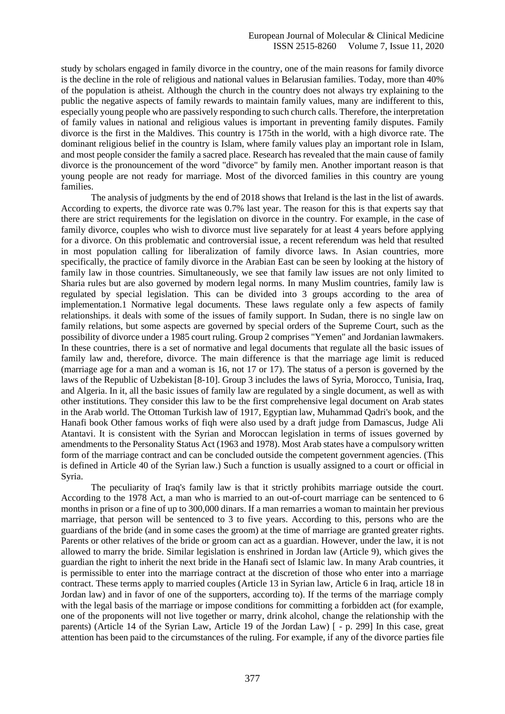study by scholars engaged in family divorce in the country, one of the main reasons for family divorce is the decline in the role of religious and national values in Belarusian families. Today, more than 40% of the population is atheist. Although the church in the country does not always try explaining to the public the negative aspects of family rewards to maintain family values, many are indifferent to this, especially young people who are passively responding to such church calls. Therefore, the interpretation of family values in national and religious values is important in preventing family disputes. Family divorce is the first in the Maldives. This country is 175th in the world, with a high divorce rate. The dominant religious belief in the country is Islam, where family values play an important role in Islam, and most people consider the family a sacred place. Research has revealed that the main cause of family divorce is the pronouncement of the word "divorce" by family men. Another important reason is that young people are not ready for marriage. Most of the divorced families in this country are young families.

The analysis of judgments by the end of 2018 shows that Ireland is the last in the list of awards. According to experts, the divorce rate was 0.7% last year. The reason for this is that experts say that there are strict requirements for the legislation on divorce in the country. For example, in the case of family divorce, couples who wish to divorce must live separately for at least 4 years before applying for a divorce. On this problematic and controversial issue, a recent referendum was held that resulted in most population calling for liberalization of family divorce laws. In Asian countries, more specifically, the practice of family divorce in the Arabian East can be seen by looking at the history of family law in those countries. Simultaneously, we see that family law issues are not only limited to Sharia rules but are also governed by modern legal norms. In many Muslim countries, family law is regulated by special legislation. This can be divided into 3 groups according to the area of implementation.1 Normative legal documents. These laws regulate only a few aspects of family relationships. it deals with some of the issues of family support. In Sudan, there is no single law on family relations, but some aspects are governed by special orders of the Supreme Court, such as the possibility of divorce under a 1985 court ruling. Group 2 comprises "Yemen" and Jordanian lawmakers. In these countries, there is a set of normative and legal documents that regulate all the basic issues of family law and, therefore, divorce. The main difference is that the marriage age limit is reduced (marriage age for a man and a woman is 16, not 17 or 17). The status of a person is governed by the laws of the Republic of Uzbekistan [8-10]. Group 3 includes the laws of Syria, Morocco, Tunisia, Iraq, and Algeria. In it, all the basic issues of family law are regulated by a single document, as well as with other institutions. They consider this law to be the first comprehensive legal document on Arab states in the Arab world. The Ottoman Turkish law of 1917, Egyptian law, Muhammad Qadri's book, and the Hanafi book Other famous works of fiqh were also used by a draft judge from Damascus, Judge Ali Atantavi. It is consistent with the Syrian and Moroccan legislation in terms of issues governed by amendments to the Personality Status Act (1963 and 1978). Most Arab states have a compulsory written form of the marriage contract and can be concluded outside the competent government agencies. (This is defined in Article 40 of the Syrian law.) Such a function is usually assigned to a court or official in Syria.

The peculiarity of Iraq's family law is that it strictly prohibits marriage outside the court. According to the 1978 Act, a man who is married to an out-of-court marriage can be sentenced to 6 months in prison or a fine of up to 300,000 dinars. If a man remarries a woman to maintain her previous marriage, that person will be sentenced to 3 to five years. According to this, persons who are the guardians of the bride (and in some cases the groom) at the time of marriage are granted greater rights. Parents or other relatives of the bride or groom can act as a guardian. However, under the law, it is not allowed to marry the bride. Similar legislation is enshrined in Jordan law (Article 9), which gives the guardian the right to inherit the next bride in the Hanafi sect of Islamic law. In many Arab countries, it is permissible to enter into the marriage contract at the discretion of those who enter into a marriage contract. These terms apply to married couples (Article 13 in Syrian law, Article 6 in Iraq, article 18 in Jordan law) and in favor of one of the supporters, according to). If the terms of the marriage comply with the legal basis of the marriage or impose conditions for committing a forbidden act (for example, one of the proponents will not live together or marry, drink alcohol, change the relationship with the parents) (Article 14 of the Syrian Law, Article 19 of the Jordan Law) [ - p. 299] In this case, great attention has been paid to the circumstances of the ruling. For example, if any of the divorce parties file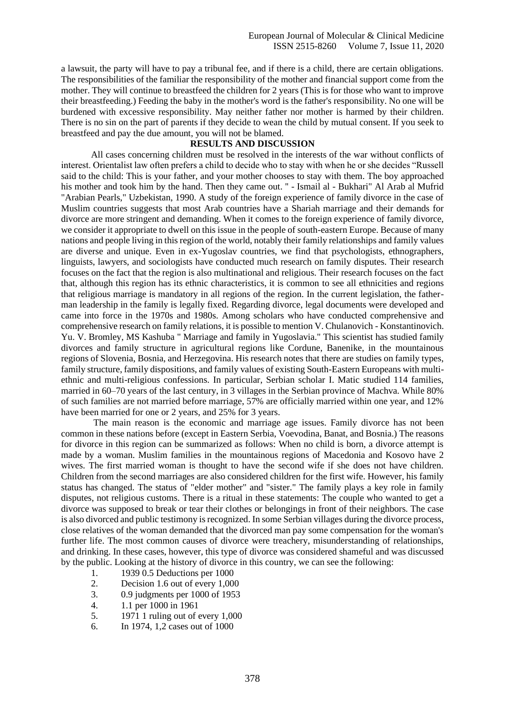a lawsuit, the party will have to pay a tribunal fee, and if there is a child, there are certain obligations. The responsibilities of the familiar the responsibility of the mother and financial support come from the mother. They will continue to breastfeed the children for 2 years (This is for those who want to improve their breastfeeding.) Feeding the baby in the mother's word is the father's responsibility. No one will be burdened with excessive responsibility. May neither father nor mother is harmed by their children. There is no sin on the part of parents if they decide to wean the child by mutual consent. If you seek to breastfeed and pay the due amount, you will not be blamed.

# **RESULTS AND DISCUSSION**

All cases concerning children must be resolved in the interests of the war without conflicts of interest. Orientalist law often prefers a child to decide who to stay with when he or she decides "Russell said to the child: This is your father, and your mother chooses to stay with them. The boy approached his mother and took him by the hand. Then they came out. '' - Ismail al - Bukhari" Al Arab al Mufrid "Arabian Pearls," Uzbekistan, 1990. A study of the foreign experience of family divorce in the case of Muslim countries suggests that most Arab countries have a Shariah marriage and their demands for divorce are more stringent and demanding. When it comes to the foreign experience of family divorce, we consider it appropriate to dwell on this issue in the people of south-eastern Europe. Because of many nations and people living in this region of the world, notably their family relationships and family values are diverse and unique. Even in ex-Yugoslav countries, we find that psychologists, ethnographers, linguists, lawyers, and sociologists have conducted much research on family disputes. Their research focuses on the fact that the region is also multinational and religious. Their research focuses on the fact that, although this region has its ethnic characteristics, it is common to see all ethnicities and regions that religious marriage is mandatory in all regions of the region. In the current legislation, the fatherman leadership in the family is legally fixed. Regarding divorce, legal documents were developed and came into force in the 1970s and 1980s. Among scholars who have conducted comprehensive and comprehensive research on family relations, it is possible to mention V. Chulanovich - Konstantinovich. Yu. V. Bromley, MS Kashuba " Marriage and family in Yugoslavia." This scientist has studied family divorces and family structure in agricultural regions like Cordune, Banenike, in the mountainous regions of Slovenia, Bosnia, and Herzegovina. His research notes that there are studies on family types, family structure, family dispositions, and family values of existing South-Eastern Europeans with multiethnic and multi-religious confessions. In particular, Serbian scholar I. Matic studied 114 families, married in 60–70 years of the last century, in 3 villages in the Serbian province of Machva. While 80% of such families are not married before marriage, 57% are officially married within one year, and 12% have been married for one or 2 years, and 25% for 3 years.

The main reason is the economic and marriage age issues. Family divorce has not been common in these nations before (except in Eastern Serbia, Voevodina, Banat, and Bosnia.) The reasons for divorce in this region can be summarized as follows: When no child is born, a divorce attempt is made by a woman. Muslim families in the mountainous regions of Macedonia and Kosovo have 2 wives. The first married woman is thought to have the second wife if she does not have children. Children from the second marriages are also considered children for the first wife. However, his family status has changed. The status of "elder mother" and "sister." The family plays a key role in family disputes, not religious customs. There is a ritual in these statements: The couple who wanted to get a divorce was supposed to break or tear their clothes or belongings in front of their neighbors. The case is also divorced and public testimony is recognized. In some Serbian villages during the divorce process, close relatives of the woman demanded that the divorced man pay some compensation for the woman's further life. The most common causes of divorce were treachery, misunderstanding of relationships, and drinking. In these cases, however, this type of divorce was considered shameful and was discussed by the public. Looking at the history of divorce in this country, we can see the following:

- 1. 1939 0.5 Deductions per 1000
- 2. Decision 1.6 out of every 1,000
- 3. 0.9 judgments per 1000 of 1953
- 4. 1.1 per 1000 in 1961
- 5. 1971 1 ruling out of every 1,000
- 6. In 1974, 1,2 cases out of 1000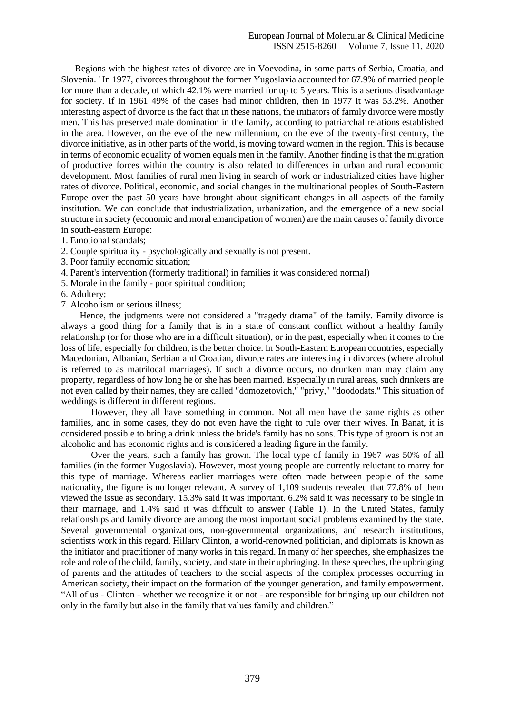Regions with the highest rates of divorce are in Voevodina, in some parts of Serbia, Croatia, and Slovenia. ' In 1977, divorces throughout the former Yugoslavia accounted for 67.9% of married people for more than a decade, of which 42.1% were married for up to 5 years. This is a serious disadvantage for society. If in 1961 49% of the cases had minor children, then in 1977 it was 53.2%. Another interesting aspect of divorce is the fact that in these nations, the initiators of family divorce were mostly men. This has preserved male domination in the family, according to patriarchal relations established in the area. However, on the eve of the new millennium, on the eve of the twenty-first century, the divorce initiative, as in other parts of the world, is moving toward women in the region. This is because in terms of economic equality of women equals men in the family. Another finding is that the migration of productive forces within the country is also related to differences in urban and rural economic development. Most families of rural men living in search of work or industrialized cities have higher rates of divorce. Political, economic, and social changes in the multinational peoples of South-Eastern Europe over the past 50 years have brought about significant changes in all aspects of the family institution. We can conclude that industrialization, urbanization, and the emergence of a new social structure in society (economic and moral emancipation of women) are the main causes of family divorce in south-eastern Europe:

- 1. Emotional scandals;
- 2. Couple spirituality psychologically and sexually is not present.
- 3. Poor family economic situation;
- 4. Parent's intervention (formerly traditional) in families it was considered normal)
- 5. Morale in the family poor spiritual condition;
- 6. Adultery;
- 7. Alcoholism or serious illness;

 Hence, the judgments were not considered a "tragedy drama" of the family. Family divorce is always a good thing for a family that is in a state of constant conflict without a healthy family relationship (or for those who are in a difficult situation), or in the past, especially when it comes to the loss of life, especially for children, is the better choice. In South-Eastern European countries, especially Macedonian, Albanian, Serbian and Croatian, divorce rates are interesting in divorces (where alcohol is referred to as matrilocal marriages). If such a divorce occurs, no drunken man may claim any property, regardless of how long he or she has been married. Especially in rural areas, such drinkers are not even called by their names, they are called "domozetovich," "privy," "doododats." This situation of weddings is different in different regions.

However, they all have something in common. Not all men have the same rights as other families, and in some cases, they do not even have the right to rule over their wives. In Banat, it is considered possible to bring a drink unless the bride's family has no sons. This type of groom is not an alcoholic and has economic rights and is considered a leading figure in the family.

Over the years, such a family has grown. The local type of family in 1967 was 50% of all families (in the former Yugoslavia). However, most young people are currently reluctant to marry for this type of marriage. Whereas earlier marriages were often made between people of the same nationality, the figure is no longer relevant. A survey of 1,109 students revealed that 77.8% of them viewed the issue as secondary. 15.3% said it was important. 6.2% said it was necessary to be single in their marriage, and 1.4% said it was difficult to answer (Table 1). In the United States, family relationships and family divorce are among the most important social problems examined by the state. Several governmental organizations, non-governmental organizations, and research institutions, scientists work in this regard. Hillary Clinton, a world-renowned politician, and diplomats is known as the initiator and practitioner of many works in this regard. In many of her speeches, she emphasizes the role and role of the child, family, society, and state in their upbringing. In these speeches, the upbringing of parents and the attitudes of teachers to the social aspects of the complex processes occurring in American society, their impact on the formation of the younger generation, and family empowerment. "All of us - Clinton - whether we recognize it or not - are responsible for bringing up our children not only in the family but also in the family that values family and children."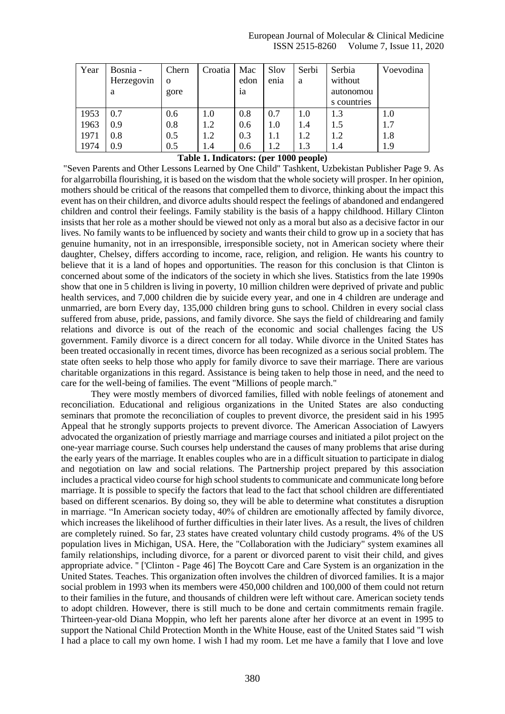#### European Journal of Molecular & Clinical Medicine ISSN 2515-8260 Volume 7, Issue 11, 2020

| Year | Bosnia -   | Chern    | Croatia | Mac  | Slov | Serbi | Serbia      | Voevodina |
|------|------------|----------|---------|------|------|-------|-------------|-----------|
|      | Herzegovin | $\Omega$ |         | edon | enia | a     | without     |           |
|      | a          | gore     |         | 1a   |      |       | autonomou   |           |
|      |            |          |         |      |      |       | s countries |           |
| 1953 | 0.7        | 0.6      | 1.0     | 0.8  | 0.7  | 1.0   | 1.3         | 1.0       |
| 1963 | 0.9        | 0.8      | 1.2     | 0.6  | 1.0  | 1.4   | 1.5         | 1.7       |
| 1971 | 0.8        | 0.5      | 1.2     | 0.3  | 1.1  | 1.2   | 1.2         | 1.8       |
| 1974 | 0.9        | 0.5      | 1.4     | 0.6  | 1.2  | 1.3   | 1.4         | 1.9       |

# **Table 1. Indicators: (per 1000 people)**

"Seven Parents and Other Lessons Learned by One Child" Tashkent, Uzbekistan Publisher Page 9. As for algarrobilla flourishing, it is based on the wisdom that the whole society will prosper. In her opinion, mothers should be critical of the reasons that compelled them to divorce, thinking about the impact this event has on their children, and divorce adults should respect the feelings of abandoned and endangered children and control their feelings. Family stability is the basis of a happy childhood. Hillary Clinton insists that her role as a mother should be viewed not only as a moral but also as a decisive factor in our lives. No family wants to be influenced by society and wants their child to grow up in a society that has genuine humanity, not in an irresponsible, irresponsible society, not in American society where their daughter, Chelsey, differs according to income, race, religion, and religion. He wants his country to believe that it is a land of hopes and opportunities. The reason for this conclusion is that Clinton is concerned about some of the indicators of the society in which she lives. Statistics from the late 1990s show that one in 5 children is living in poverty, 10 million children were deprived of private and public health services, and 7,000 children die by suicide every year, and one in 4 children are underage and unmarried, are born Every day, 135,000 children bring guns to school. Children in every social class suffered from abuse, pride, passions, and family divorce. She says the field of childrearing and family relations and divorce is out of the reach of the economic and social challenges facing the US government. Family divorce is a direct concern for all today. While divorce in the United States has been treated occasionally in recent times, divorce has been recognized as a serious social problem. The state often seeks to help those who apply for family divorce to save their marriage. There are various charitable organizations in this regard. Assistance is being taken to help those in need, and the need to care for the well-being of families. The event "Millions of people march."

They were mostly members of divorced families, filled with noble feelings of atonement and reconciliation. Educational and religious organizations in the United States are also conducting seminars that promote the reconciliation of couples to prevent divorce, the president said in his 1995 Appeal that he strongly supports projects to prevent divorce. The American Association of Lawyers advocated the organization of priestly marriage and marriage courses and initiated a pilot project on the one-year marriage course. Such courses help understand the causes of many problems that arise during the early years of the marriage. It enables couples who are in a difficult situation to participate in dialog and negotiation on law and social relations. The Partnership project prepared by this association includes a practical video course for high school students to communicate and communicate long before marriage. It is possible to specify the factors that lead to the fact that school children are differentiated based on different scenarios. By doing so, they will be able to determine what constitutes a disruption in marriage. "In American society today, 40% of children are emotionally affected by family divorce, which increases the likelihood of further difficulties in their later lives. As a result, the lives of children are completely ruined. So far, 23 states have created voluntary child custody programs. 4% of the US population lives in Michigan, USA. Here, the "Collaboration with the Judiciary" system examines all family relationships, including divorce, for a parent or divorced parent to visit their child, and gives appropriate advice. '' ['Clinton - Page 46] The Boycott Care and Care System is an organization in the United States. Teaches. This organization often involves the children of divorced families. It is a major social problem in 1993 when its members were 450,000 children and 100,000 of them could not return to their families in the future, and thousands of children were left without care. American society tends to adopt children. However, there is still much to be done and certain commitments remain fragile. Thirteen-year-old Diana Moppin, who left her parents alone after her divorce at an event in 1995 to support the National Child Protection Month in the White House, east of the United States said "I wish I had a place to call my own home. I wish I had my room. Let me have a family that I love and love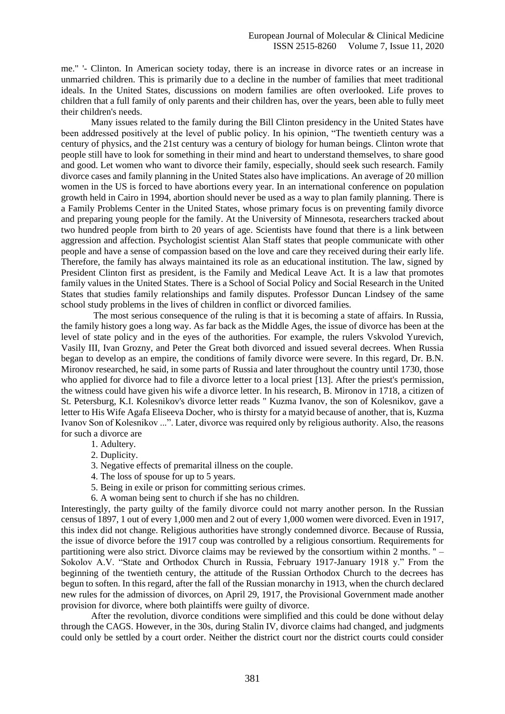me." '- Clinton. In American society today, there is an increase in divorce rates or an increase in unmarried children. This is primarily due to a decline in the number of families that meet traditional ideals. In the United States, discussions on modern families are often overlooked. Life proves to children that a full family of only parents and their children has, over the years, been able to fully meet their children's needs.

Many issues related to the family during the Bill Clinton presidency in the United States have been addressed positively at the level of public policy. In his opinion, "The twentieth century was a century of physics, and the 21st century was a century of biology for human beings. Clinton wrote that people still have to look for something in their mind and heart to understand themselves, to share good and good. Let women who want to divorce their family, especially, should seek such research. Family divorce cases and family planning in the United States also have implications. An average of 20 million women in the US is forced to have abortions every year. In an international conference on population growth held in Cairo in 1994, abortion should never be used as a way to plan family planning. There is a Family Problems Center in the United States, whose primary focus is on preventing family divorce and preparing young people for the family. At the University of Minnesota, researchers tracked about two hundred people from birth to 20 years of age. Scientists have found that there is a link between aggression and affection. Psychologist scientist Alan Staff states that people communicate with other people and have a sense of compassion based on the love and care they received during their early life. Therefore, the family has always maintained its role as an educational institution. The law, signed by President Clinton first as president, is the Family and Medical Leave Act. It is a law that promotes family values in the United States. There is a School of Social Policy and Social Research in the United States that studies family relationships and family disputes. Professor Duncan Lindsey of the same school study problems in the lives of children in conflict or divorced families.

The most serious consequence of the ruling is that it is becoming a state of affairs. In Russia, the family history goes a long way. As far back as the Middle Ages, the issue of divorce has been at the level of state policy and in the eyes of the authorities. For example, the rulers Vskvolod Yurevich, Vasily III, Ivan Grozny, and Peter the Great both divorced and issued several decrees. When Russia began to develop as an empire, the conditions of family divorce were severe. In this regard, Dr. B.N. Mironov researched, he said, in some parts of Russia and later throughout the country until 1730, those who applied for divorce had to file a divorce letter to a local priest [13]. After the priest's permission, the witness could have given his wife a divorce letter. In his research, B. Mironov in 1718, a citizen of St. Petersburg, K.I. Kolesnikov's divorce letter reads " Kuzma Ivanov, the son of Kolesnikov, gave a letter to His Wife Agafa Eliseeva Docher, who is thirsty for a matyid because of another, that is, Kuzma Ivanov Son of Kolesnikov ...". Later, divorce was required only by religious authority. Also, the reasons for such a divorce are

- 1. Adultery.
- 2. Duplicity.
- 3. Negative effects of premarital illness on the couple.
- 4. The loss of spouse for up to 5 years.
- 5. Being in exile or prison for committing serious crimes.
- 6. A woman being sent to church if she has no children.

Interestingly, the party guilty of the family divorce could not marry another person. In the Russian census of 1897, 1 out of every 1,000 men and 2 out of every 1,000 women were divorced. Even in 1917, this index did not change. Religious authorities have strongly condemned divorce. Because of Russia, the issue of divorce before the 1917 coup was controlled by a religious consortium. Requirements for partitioning were also strict. Divorce claims may be reviewed by the consortium within 2 months. '' – Sokolov A.V. "State and Orthodox Church in Russia, February 1917-January 1918 y." From the beginning of the twentieth century, the attitude of the Russian Orthodox Church to the decrees has begun to soften. In this regard, after the fall of the Russian monarchy in 1913, when the church declared new rules for the admission of divorces, on April 29, 1917, the Provisional Government made another provision for divorce, where both plaintiffs were guilty of divorce.

After the revolution, divorce conditions were simplified and this could be done without delay through the CAGS. However, in the 30s, during Stalin IV, divorce claims had changed, and judgments could only be settled by a court order. Neither the district court nor the district courts could consider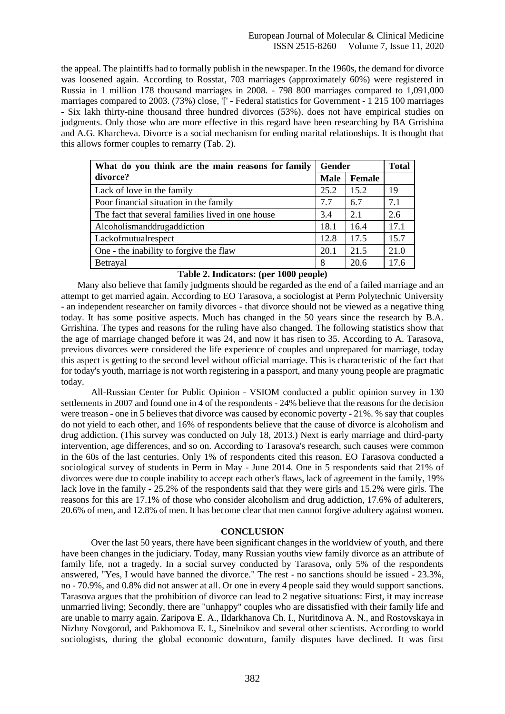the appeal. The plaintiffs had to formally publish in the newspaper. In the 1960s, the demand for divorce was loosened again. According to Rosstat, 703 marriages (approximately 60%) were registered in Russia in 1 million 178 thousand marriages in 2008. - 798 800 marriages compared to 1,091,000 marriages compared to 2003. (73%) close, '[' - Federal statistics for Government - 1 215 100 marriages - Six lakh thirty-nine thousand three hundred divorces (53%). does not have empirical studies on judgments. Only those who are more effective in this regard have been researching by BA Grrishina and A.G. Kharcheva. Divorce is a social mechanism for ending marital relationships. It is thought that this allows former couples to remarry (Tab. 2).

| What do you think are the main reasons for family | Gender      |        | <b>Total</b> |
|---------------------------------------------------|-------------|--------|--------------|
| divorce?                                          | <b>Male</b> | Female |              |
| Lack of love in the family                        | 25.2        | 15.2   | 19           |
| Poor financial situation in the family            | 7.7         | 6.7    | 7.1          |
| The fact that several families lived in one house | 3.4         | 2.1    | 2.6          |
| Alcoholismanddrugaddiction                        | 18.1        | 16.4   | 17.1         |
| Lackofmutualrespect                               | 12.8        | 17.5   | 15.7         |
| One - the inability to forgive the flaw           | 20.1        | 21.5   | 21.0         |
| Betrayal                                          | 8           | 20.6   | 17.6         |

# **Table 2. Indicators: (per 1000 people)**

 Many also believe that family judgments should be regarded as the end of a failed marriage and an attempt to get married again. According to EO Tarasova, a sociologist at Perm Polytechnic University - an independent researcher on family divorces - that divorce should not be viewed as a negative thing today. It has some positive aspects. Much has changed in the 50 years since the research by B.A. Grrishina. The types and reasons for the ruling have also changed. The following statistics show that the age of marriage changed before it was 24, and now it has risen to 35. According to A. Tarasova, previous divorces were considered the life experience of couples and unprepared for marriage, today this aspect is getting to the second level without official marriage. This is characteristic of the fact that for today's youth, marriage is not worth registering in a passport, and many young people are pragmatic today.

All-Russian Center for Public Opinion - VSIOM conducted a public opinion survey in 130 settlements in 2007 and found one in 4 of the respondents - 24% believe that the reasons for the decision were treason - one in 5 believes that divorce was caused by economic poverty - 21%. % say that couples do not yield to each other, and 16% of respondents believe that the cause of divorce is alcoholism and drug addiction. (This survey was conducted on July 18, 2013.) Next is early marriage and third-party intervention, age differences, and so on. According to Tarasova's research, such causes were common in the 60s of the last centuries. Only 1% of respondents cited this reason. EO Tarasova conducted a sociological survey of students in Perm in May - June 2014. One in 5 respondents said that 21% of divorces were due to couple inability to accept each other's flaws, lack of agreement in the family, 19% lack love in the family - 25.2% of the respondents said that they were girls and 15.2% were girls. The reasons for this are 17.1% of those who consider alcoholism and drug addiction, 17.6% of adulterers, 20.6% of men, and 12.8% of men. It has become clear that men cannot forgive adultery against women.

#### **CONCLUSION**

Over the last 50 years, there have been significant changes in the worldview of youth, and there have been changes in the judiciary. Today, many Russian youths view family divorce as an attribute of family life, not a tragedy. In a social survey conducted by Tarasova, only 5% of the respondents answered, "Yes, I would have banned the divorce." The rest - no sanctions should be issued - 23.3%, no - 70.9%, and 0.8% did not answer at all. Or one in every 4 people said they would support sanctions. Tarasova argues that the prohibition of divorce can lead to 2 negative situations: First, it may increase unmarried living; Secondly, there are "unhappy" couples who are dissatisfied with their family life and are unable to marry again. Zaripova E. A., Ildarkhanova Ch. I., Nuritdinova A. N., and Rostovskaya in Nizhny Novgorod, and Pakhomova E. I., Sinelnikov and several other scientists. According to world sociologists, during the global economic downturn, family disputes have declined. It was first